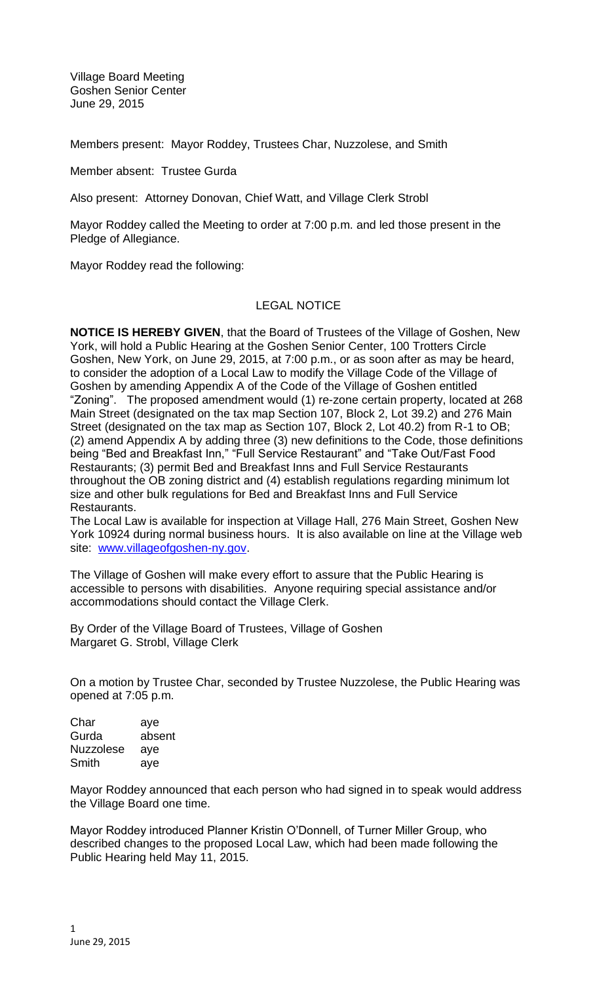Village Board Meeting Goshen Senior Center June 29, 2015

Members present: Mayor Roddey, Trustees Char, Nuzzolese, and Smith

Member absent: Trustee Gurda

Also present: Attorney Donovan, Chief Watt, and Village Clerk Strobl

Mayor Roddey called the Meeting to order at 7:00 p.m. and led those present in the Pledge of Allegiance.

Mayor Roddey read the following:

## LEGAL NOTICE

**NOTICE IS HEREBY GIVEN**, that the Board of Trustees of the Village of Goshen, New York, will hold a Public Hearing at the Goshen Senior Center, 100 Trotters Circle Goshen, New York, on June 29, 2015, at 7:00 p.m., or as soon after as may be heard, to consider the adoption of a Local Law to modify the Village Code of the Village of Goshen by amending Appendix A of the Code of the Village of Goshen entitled "Zoning". The proposed amendment would (1) re-zone certain property, located at 268 Main Street (designated on the tax map Section 107, Block 2, Lot 39.2) and 276 Main Street (designated on the tax map as Section 107, Block 2, Lot 40.2) from R-1 to OB; (2) amend Appendix A by adding three (3) new definitions to the Code, those definitions being "Bed and Breakfast Inn," "Full Service Restaurant" and "Take Out/Fast Food Restaurants; (3) permit Bed and Breakfast Inns and Full Service Restaurants throughout the OB zoning district and (4) establish regulations regarding minimum lot size and other bulk regulations for Bed and Breakfast Inns and Full Service Restaurants.

The Local Law is available for inspection at Village Hall, 276 Main Street, Goshen New York 10924 during normal business hours. It is also available on line at the Village web site: [www.villageofgoshen-ny.gov.](http://www.villageofgoshen-ny.gov/)

The Village of Goshen will make every effort to assure that the Public Hearing is accessible to persons with disabilities. Anyone requiring special assistance and/or accommodations should contact the Village Clerk.

By Order of the Village Board of Trustees, Village of Goshen Margaret G. Strobl, Village Clerk

On a motion by Trustee Char, seconded by Trustee Nuzzolese, the Public Hearing was opened at 7:05 p.m.

Char aye Gurda absent Nuzzolese aye Smith aye

Mayor Roddey announced that each person who had signed in to speak would address the Village Board one time.

Mayor Roddey introduced Planner Kristin O'Donnell, of Turner Miller Group, who described changes to the proposed Local Law, which had been made following the Public Hearing held May 11, 2015.